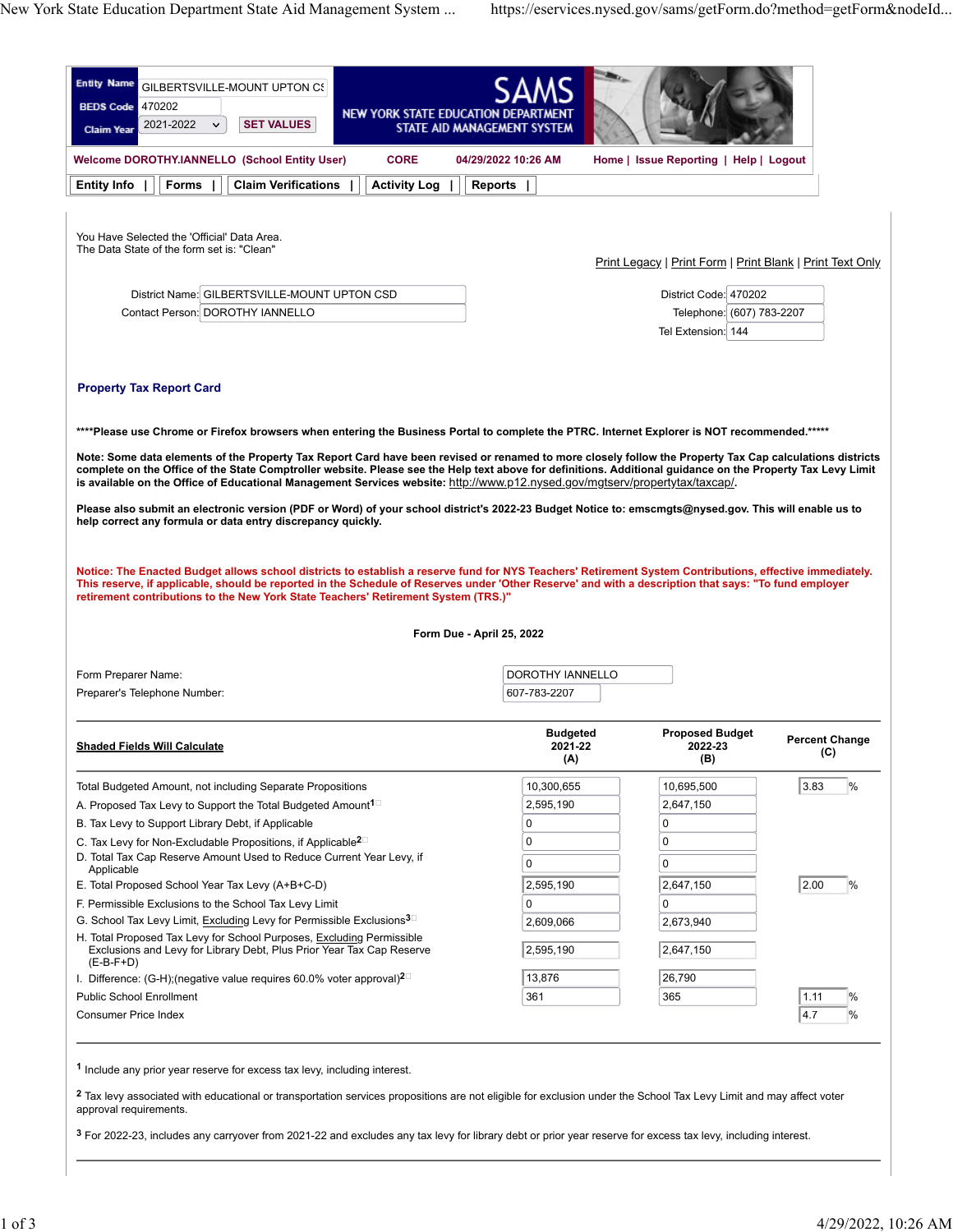| 470202<br><b>BEDS Code</b><br>NEW YORK STATE EDUCATION DEPART<br>2021-2022<br><b>SET VALUES</b><br>$\checkmark$<br>STATE AID MANAGEMENT SYSTEM<br><b>Claim Year</b>                                                                                                                                                                                                                                                                                                                                                                                                                                                                                                                                                                                              |                                   |                                        |                              |  |  |  |  |  |
|------------------------------------------------------------------------------------------------------------------------------------------------------------------------------------------------------------------------------------------------------------------------------------------------------------------------------------------------------------------------------------------------------------------------------------------------------------------------------------------------------------------------------------------------------------------------------------------------------------------------------------------------------------------------------------------------------------------------------------------------------------------|-----------------------------------|----------------------------------------|------------------------------|--|--|--|--|--|
| <b>CORE</b><br><b>Welcome DOROTHY.IANNELLO (School Entity User)</b>                                                                                                                                                                                                                                                                                                                                                                                                                                                                                                                                                                                                                                                                                              | 04/29/2022 10:26 AM               | Home   Issue Reporting   Help   Logout |                              |  |  |  |  |  |
| Forms<br><b>Entity Info</b><br><b>Claim Verifications</b><br><b>Activity Log</b>                                                                                                                                                                                                                                                                                                                                                                                                                                                                                                                                                                                                                                                                                 | <b>Reports</b>                    |                                        |                              |  |  |  |  |  |
| You Have Selected the 'Official' Data Area.<br>The Data State of the form set is: "Clean"<br>Print Legacy   Print Form   Print Blank   Print Text Only<br>District Code: 470202<br>District Name: GILBERTSVILLE-MOUNT UPTON CSD<br>Contact Person: DOROTHY IANNELLO<br>Telephone: (607) 783-2207<br>Tel Extension: 144                                                                                                                                                                                                                                                                                                                                                                                                                                           |                                   |                                        |                              |  |  |  |  |  |
| <b>Property Tax Report Card</b>                                                                                                                                                                                                                                                                                                                                                                                                                                                                                                                                                                                                                                                                                                                                  |                                   |                                        |                              |  |  |  |  |  |
|                                                                                                                                                                                                                                                                                                                                                                                                                                                                                                                                                                                                                                                                                                                                                                  |                                   |                                        |                              |  |  |  |  |  |
| ****Please use Chrome or Firefox browsers when entering the Business Portal to complete the PTRC. Internet Explorer is NOT recommended.*****<br>Note: Some data elements of the Property Tax Report Card have been revised or renamed to more closely follow the Property Tax Cap calculations districts<br>complete on the Office of the State Comptroller website. Please see the Help text above for definitions. Additional guidance on the Property Tax Levy Limit<br>is available on the Office of Educational Management Services website: http://www.p12.nysed.gov/mgtserv/propertytax/taxcap/.<br>Please also submit an electronic version (PDF or Word) of your school district's 2022-23 Budget Notice to: emscmgts@nysed.gov. This will enable us to |                                   |                                        |                              |  |  |  |  |  |
| help correct any formula or data entry discrepancy quickly.                                                                                                                                                                                                                                                                                                                                                                                                                                                                                                                                                                                                                                                                                                      |                                   |                                        |                              |  |  |  |  |  |
| Notice: The Enacted Budget allows school districts to establish a reserve fund for NYS Teachers' Retirement System Contributions, effective immediately.<br>This reserve, if applicable, should be reported in the Schedule of Reserves under 'Other Reserve' and with a description that says: "To fund employer<br>retirement contributions to the New York State Teachers' Retirement System (TRS.)"<br>Form Due - April 25, 2022                                                                                                                                                                                                                                                                                                                             |                                   |                                        |                              |  |  |  |  |  |
|                                                                                                                                                                                                                                                                                                                                                                                                                                                                                                                                                                                                                                                                                                                                                                  |                                   |                                        |                              |  |  |  |  |  |
| Form Preparer Name:                                                                                                                                                                                                                                                                                                                                                                                                                                                                                                                                                                                                                                                                                                                                              | <b>DOROTHY IANNELLO</b>           |                                        |                              |  |  |  |  |  |
| Preparer's Telephone Number:                                                                                                                                                                                                                                                                                                                                                                                                                                                                                                                                                                                                                                                                                                                                     | 607-783-2207                      |                                        |                              |  |  |  |  |  |
| <b>Shaded Fields Will Calculate</b>                                                                                                                                                                                                                                                                                                                                                                                                                                                                                                                                                                                                                                                                                                                              | <b>Budgeted</b><br>2021-22<br>(A) | Proposed Budget<br>2022-23<br>(B)      | <b>Percent Change</b><br>(C) |  |  |  |  |  |
| Total Budgeted Amount, not including Separate Propositions                                                                                                                                                                                                                                                                                                                                                                                                                                                                                                                                                                                                                                                                                                       | 10,300,655                        | 10,695,500                             | %<br>3.83                    |  |  |  |  |  |
| A. Proposed Tax Levy to Support the Total Budgeted Amount <sup>1</sup>                                                                                                                                                                                                                                                                                                                                                                                                                                                                                                                                                                                                                                                                                           | 2,595,190                         | 2,647,150                              |                              |  |  |  |  |  |
| B. Tax Levy to Support Library Debt, if Applicable                                                                                                                                                                                                                                                                                                                                                                                                                                                                                                                                                                                                                                                                                                               | 0                                 | 0                                      |                              |  |  |  |  |  |
| C. Tax Levy for Non-Excludable Propositions, if Applicable <sup>2</sup>                                                                                                                                                                                                                                                                                                                                                                                                                                                                                                                                                                                                                                                                                          | 0                                 | 0                                      |                              |  |  |  |  |  |
| D. Total Tax Cap Reserve Amount Used to Reduce Current Year Levy, if                                                                                                                                                                                                                                                                                                                                                                                                                                                                                                                                                                                                                                                                                             | 0                                 | $\mathbf 0$                            |                              |  |  |  |  |  |
| Applicable<br>E. Total Proposed School Year Tax Levy (A+B+C-D)                                                                                                                                                                                                                                                                                                                                                                                                                                                                                                                                                                                                                                                                                                   | 2,595,190                         | 2,647,150                              | 2.00<br>$\frac{0}{0}$        |  |  |  |  |  |
| F. Permissible Exclusions to the School Tax Levy Limit                                                                                                                                                                                                                                                                                                                                                                                                                                                                                                                                                                                                                                                                                                           | $\Omega$                          | $\Omega$                               |                              |  |  |  |  |  |
| G. School Tax Levy Limit, Excluding Levy for Permissible Exclusions <sup>30</sup>                                                                                                                                                                                                                                                                                                                                                                                                                                                                                                                                                                                                                                                                                | 2,609,066                         | 2,673,940                              |                              |  |  |  |  |  |
| H. Total Proposed Tax Levy for School Purposes, Excluding Permissible<br>Exclusions and Levy for Library Debt, Plus Prior Year Tax Cap Reserve<br>$(E-B-F+D)$                                                                                                                                                                                                                                                                                                                                                                                                                                                                                                                                                                                                    | 2,595,190                         | 2,647,150                              |                              |  |  |  |  |  |
| 1. Difference: (G-H); (negative value requires 60.0% voter approval) <sup>2</sup>                                                                                                                                                                                                                                                                                                                                                                                                                                                                                                                                                                                                                                                                                | 13,876                            | 26,790                                 |                              |  |  |  |  |  |
| <b>Public School Enrollment</b>                                                                                                                                                                                                                                                                                                                                                                                                                                                                                                                                                                                                                                                                                                                                  | 361                               | 365                                    | 1.11<br>%                    |  |  |  |  |  |
| <b>Consumer Price Index</b>                                                                                                                                                                                                                                                                                                                                                                                                                                                                                                                                                                                                                                                                                                                                      |                                   |                                        | 4.7<br>%                     |  |  |  |  |  |
| <sup>1</sup> Include any prior year reserve for excess tax levy, including interest.<br><sup>2</sup> Tax levy associated with educational or transportation services propositions are not eligible for exclusion under the School Tax Levy Limit and may affect voter<br>approval requirements.                                                                                                                                                                                                                                                                                                                                                                                                                                                                  |                                   |                                        |                              |  |  |  |  |  |